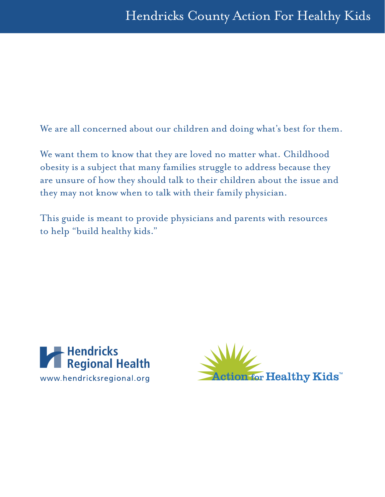We are all concerned about our children and doing what's best for them.

We want them to know that they are loved no matter what. Childhood obesity is a subject that many families struggle to address because they are unsure of how they should talk to their children about the issue and they may not know when to talk with their family physician.

This guide is meant to provide physicians and parents with resources to help "build healthy kids."



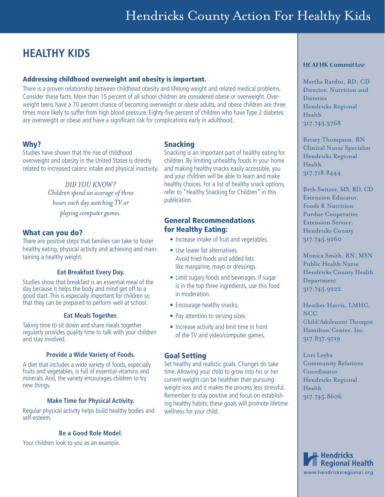### **HEALTHY KIDS**

#### Addressing childhood overweight and obesity is important.

There is a proven relationship between childhood obesity and lifelong weight and related medical problems. Consider these facts. More than 15 percent of all school children are considered obese or overweight. Overweight teens have a 70 percent chance of becoming overweight or obese adults, and obese children are three times more likely to suffer from high blood pressure. Eighty-five percent of children who have Type 2 diabetes are overweight or obese and have a significant risk for complications early in adulthood.

#### Why?

Studies have shown that the rise of childhood overweight and obesity in the United States is directly related to increased caloric intake and physical inactivity.

> *DID YOU KNOW? Children spend an average of three hours each day watching TV or playing computer games.*

#### What can you do?

There are positive steps that families can take to foster healthy eating, physical activity and achieving and maintaining a healthy weight.

#### **Eat Breakfast Every Day.**

Studies show that breakfast is an essential meal of the day because it helps the body and mind get off to a good start. This is especially important for children so that they can be prepared to perform well at school.

#### **Eat Meals Together.**

Taking time to sit down and share meals together regularly provides quality time to talk with your children and stay involved.

#### **Provide a Wide Variety of Foods.**

A diet that includes a wide variety of foods, especially fruits and vegetables, is full of essential vitamins and minerals. And, the variety encourages children to try new things.

#### **Make Time for Physical Activity.**

Regular physical activity helps build healthy bodies and self-esteem.

#### **Be a Good Role Model.**

Your children look to you as an example.

#### Snacking

Snacking is an important part of healthy eating for children. By limiting unhealthy foods in your home and making healthy snacks easily accessible, you and your children will be able to learn and make healthy choices. For a list of healthy snack options, refer to "Healthy Snacking for Children" in this publication.

#### General Recommendations for Healthy Eating:

- Increase intake of fruit and vegetables.
- Use lower fat alternatives. Avoid fried foods and added fats like margarine, mayo or dressings.
- Limit sugary foods and beverages. If sugar is in the top three ingredients, use this food in moderation.
- Encourage healthy snacks.
- Pay attention to serving sizes.
- Increase activity and limit time in front of the TV and video/computer games.

#### Goal Setting

Set healthy and realistic goals. Changes do take time. Allowing your child to grow into his or her current weight can be healthier than pursuing weight loss and it makes the process less stressful. Remember to stay positive and focus on establishing healthy habits; these goals will promote lifetime wellness for your child.

#### **HCAFHK Committee**

Martha Rardin, RD, CD Director, Nutrition and **Dietetics** Hendricks Regional Health 317.745.3768

Betsey Thompson, RN Clinical Nurse Specialist Hendricks Regional Health 317.718.8444

Beth Switzer, MS, RD, CD Extension Educator, Foods & Nutrition Purdue Cooperative Extension Service, Hendricks County 317.745.9260

Monica Smith, RN, MSN Public Health Nurse Hendricks County Health Department 317.745.9222

Heather Harris, LMHC, NCC Child/Adolescent Therapist Hamilton Center, Inc. 317.837.9719

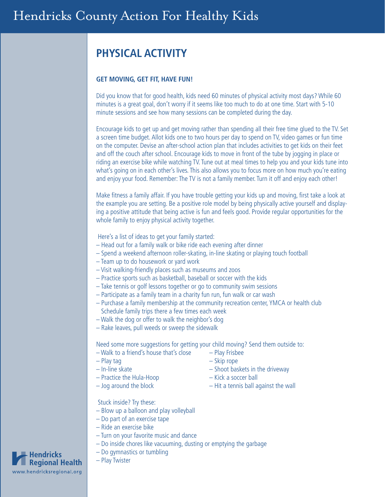## **PHYSICAL ACTIVITY**

#### **GET MOVING, GET FIT, HAVE FUN!**

Did you know that for good health, kids need 60 minutes of physical activity most days? While 60 minutes is a great goal, don't worry if it seems like too much to do at one time. Start with 5-10 minute sessions and see how many sessions can be completed during the day.

Encourage kids to get up and get moving rather than spending all their free time glued to the TV. Set a screen time budget. Allot kids one to two hours per day to spend on TV, video games or fun time on the computer. Devise an after-school action plan that includes activities to get kids on their feet and off the couch after school. Encourage kids to move in front of the tube by jogging in place or riding an exercise bike while watching TV. Tune out at meal times to help you and your kids tune into what's going on in each other's lives. This also allows you to focus more on how much you're eating and enjoy your food. Remember: The TV is not a family member. Turn it off and enjoy each other!

Make fitness a family affair. If you have trouble getting your kids up and moving, first take a look at the example you are setting. Be a positive role model by being physically active yourself and displaying a positive attitude that being active is fun and feels good. Provide regular opportunities for the whole family to enjoy physical activity together.

Here's a list of ideas to get your family started:

- Head out for a family walk or bike ride each evening after dinner
- Spend a weekend afternoon roller-skating, in-line skating or playing touch football
- Team up to do housework or yard work
- Visit walking-friendly places such as museums and zoos
- Practice sports such as basketball, baseball or soccer with the kids
- Take tennis or golf lessons together or go to community swim sessions
- Participate as a family team in a charity fun run, fun walk or car wash
- Purchase a family membership at the community recreation center, YMCA or health club Schedule family trips there a few times each week
- Walk the dog or offer to walk the neighbor's dog
- Rake leaves, pull weeds or sweep the sidewalk

Need some more suggestions for getting your child moving? Send them outside to:

- Walk to a friend's house that's close Play Frisbee
- 
- 
- Practice the Hula-Hoop Kick a soccer ball
- 
- Play tag Skip rope
- In-line skate Shoot baskets in the driveway
	-
- Jog around the block Hit a tennis ball against the wall

Stuck inside? Try these:

- Blow up a balloon and play volleyball
- Do part of an exercise tape
- Ride an exercise bike
- Turn on your favorite music and dance
- Do inside chores like vacuuming, dusting or emptying the garbage
- Do gymnastics or tumbling
- Play Twister

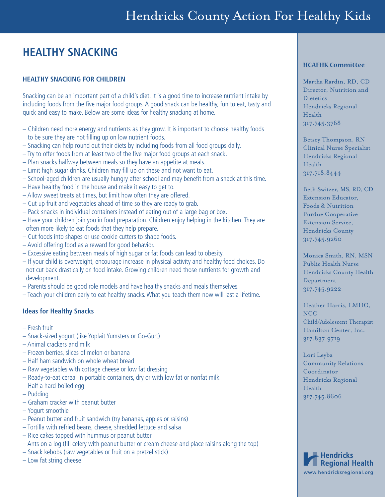## **HEALTHY SNACKING**

#### **HEALTHY SNACKING FOR CHILDREN**

Snacking can be an important part of a child's diet. It is a good time to increase nutrient intake by including foods from the five major food groups. A good snack can be healthy, fun to eat, tasty and quick and easy to make. Below are some ideas for healthy snacking at home.

- Children need more energy and nutrients as they grow. It is important to choose healthy foods to be sure they are not filling up on low nutrient foods.
- Snacking can help round out their diets by including foods from all food groups daily.
- $-$  Try to offer foods from at least two of the five major food groups at each snack.
- Plan snacks halfway between meals so they have an appetite at meals.
- $-$  Limit high sugar drinks. Children may fill up on these and not want to eat.
- School-aged children are usually hungry after school and may benefi t from a snack at this time.
- Have healthy food in the house and make it easy to get to.
- Allow sweet treats at times, but limit how often they are offered.
- Cut up fruit and vegetables ahead of time so they are ready to grab.
- Pack snacks in individual containers instead of eating out of a large bag or box.
- Have your children join you in food preparation. Children enjoy helping in the kitchen. They are often more likely to eat foods that they help prepare.
- Cut foods into shapes or use cookie cutters to shape foods.
- Avoid offering food as a reward for good behavior.
- Excessive eating between meals of high sugar or fat foods can lead to obesity.
- If your child is overweight, encourage increase in physical activity and healthy food choices. Do not cut back drastically on food intake. Growing children need those nutrients for growth and development.
- Parents should be good role models and have healthy snacks and meals themselves.
- Teach your children early to eat healthy snacks. What you teach them now will last a lifetime.

#### **Ideas for Healthy Snacks**

- Fresh fruit
- Snack-sized yogurt (like Yoplait Yumsters or Go-Gurt)
- Animal crackers and milk
- Frozen berries, slices of melon or banana
- Half ham sandwich on whole wheat bread
- Raw vegetables with cottage cheese or low fat dressing
- Ready-to-eat cereal in portable containers, dry or with low fat or nonfat milk
- Half a hard-boiled egg
- Pudding
- Graham cracker with peanut butter
- Yogurt smoothie
- Peanut butter and fruit sandwich (try bananas, apples or raisins)
- Tortilla with refried beans, cheese, shredded lettuce and salsa
- Rice cakes topped with hummus or peanut butter
- Ants on a log (fill celery with peanut butter or cream cheese and place raisins along the top)
- Snack kebobs (raw vegetables or fruit on a pretzel stick)
- Low fat string cheese

#### **HCAFHK Committee**

Martha Rardin, RD, CD Director, Nutrition and **Dietetics** Hendricks Regional Health 317.745.3768

Betsey Thompson, RN Clinical Nurse Specialist Hendricks Regional Health 317.718.8444

Beth Switzer, MS, RD, CD Extension Educator, Foods & Nutrition Purdue Cooperative Extension Service, Hendricks County 317.745.9260

Monica Smith, RN, MSN Public Health Nurse Hendricks County Health Department 317.745.9222

Heather Harris, LMHC, NCC Child/Adolescent Therapist Hamilton Center, Inc. 317.837.9719

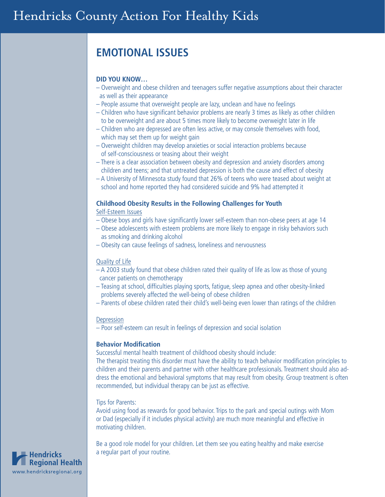### **EMOTIONAL ISSUES**

#### **DID YOU KNOW…**

- Overweight and obese children and teenagers suffer negative assumptions about their character as well as their appearance
- People assume that overweight people are lazy, unclean and have no feelings
- Children who have significant behavior problems are nearly 3 times as likely as other children to be overweight and are about 5 times more likely to become overweight later in life
- Children who are depressed are often less active, or may console themselves with food, which may set them up for weight gain
- Overweight children may develop anxieties or social interaction problems because of self-consciousness or teasing about their weight
- There is a clear association between obesity and depression and anxiety disorders among children and teens; and that untreated depression is both the cause and effect of obesity
- A University of Minnesota study found that 26% of teens who were teased about weight at school and home reported they had considered suicide and 9% had attempted it

#### **Childhood Obesity Results in the Following Challenges for Youth**

Self-Esteem Issues

- Obese boys and girls have significantly lower self-esteem than non-obese peers at age 14
- Obese adolescents with esteem problems are more likely to engage in risky behaviors such as smoking and drinking alcohol
- Obesity can cause feelings of sadness, loneliness and nervousness

#### Quality of Life

- A 2003 study found that obese children rated their quality of life as low as those of young cancer patients on chemotherapy
- Teasing at school, difficulties playing sports, fatigue, sleep apnea and other obesity-linked problems severely affected the well-being of obese children
- Parents of obese children rated their child's well-being even lower than ratings of the children

#### **Depression**

– Poor self-esteem can result in feelings of depression and social isolation

#### **Behavior Modification**

Successful mental health treatment of childhood obesity should include:

The therapist treating this disorder must have the ability to teach behavior modification principles to children and their parents and partner with other healthcare professionals. Treatment should also address the emotional and behavioral symptoms that may result from obesity. Group treatment is often recommended, but individual therapy can be just as effective.

#### Tips for Parents:

Avoid using food as rewards for good behavior. Trips to the park and special outings with Mom or Dad (especially if it includes physical activity) are much more meaningful and effective in motivating children.

Be a good role model for your children. Let them see you eating healthy and make exercise a regular part of your routine.

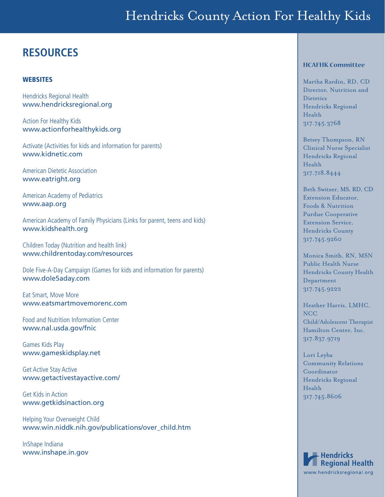# Hendricks County Action For Healthy Kids

### **RESOURCES**

#### **WEBSITES**

Hendricks Regional Health www.hendricksregional.org

Action For Healthy Kids www.actionforhealthykids.org

Activate (Activities for kids and information for parents) www.kidnetic.com

American Dietetic Association www.eatright.org

American Academy of Pediatrics www.aap.org

American Academy of Family Physicians (Links for parent, teens and kids) www.kidshealth.org

Children Today (Nutrition and health link) www.childrentoday.com/resources

Dole Five-A-Day Campaign (Games for kids and information for parents) www.dole5aday.com

Eat Smart, Move More www.eatsmartmovemorenc.com

Food and Nutrition Information Center www.nal.usda.gov/fnic

Games Kids Play www.gameskidsplay.net

Get Active Stay Active www.getactivestayactive.com/

Get Kids in Action www.getkidsinaction.org

Helping Your Overweight Child www.win.niddk.nih.gov/publications/over\_child.htm

InShape Indiana www.inshape.in.gov

#### **HCAFHK Committee**

Martha Rardin, RD, CD Director, Nutrition and **Dietetics** Hendricks Regional Health 317.745.3768

Betsey Thompson, RN Clinical Nurse Specialist Hendricks Regional Health 317.718.8444

Beth Switzer, MS, RD, CD Extension Educator, Foods & Nutrition Purdue Cooperative Extension Service, Hendricks County 317.745.9260

Monica Smith, RN, MSN Public Health Nurse Hendricks County Health Department 317.745.9222

Heather Harris, LMHC, NCC Child/Adolescent Therapist Hamilton Center, Inc. 317.837.9719

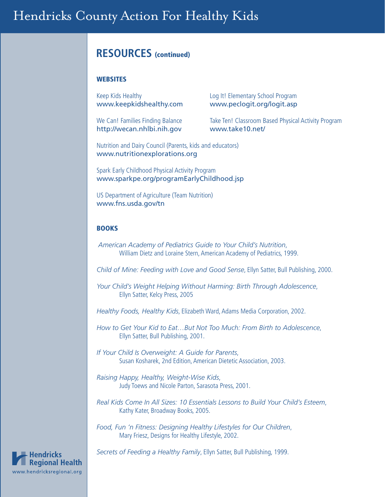### **RESOURCES** (continued)

#### **WEBSITES**

Keep Kids Healthy **Example 20** Log It! Elementary School Program

http://wecan.nhlbi.nih.gov www.take10.net/

www.keepkidshealthy.com www.peclogit.org/logit.asp

We Can! Families Finding Balance Take Ten! Classroom Based Physical Activity Program

Nutrition and Dairy Council (Parents, kids and educators) www.nutritionexplorations.org

Spark Early Childhood Physical Activity Program www.sparkpe.org/programEarlyChildhood.jsp

US Department of Agriculture (Team Nutrition) www.fns.usda.gov/tn

#### BOOKS

*American Academy of Pediatrics Guide to Your Child's Nutrition*, William Dietz and Loraine Stern, American Academy of Pediatrics, 1999.

*Child of Mine: Feeding with Love and Good Sense*, Ellyn Satter, Bull Publishing, 2000.

*Your Child's Weight Helping Without Harming: Birth Through Adolescence*, Ellyn Satter, Kelcy Press, 2005

*Healthy Foods, Healthy Kids*, Elizabeth Ward, Adams Media Corporation, 2002.

*How to Get Your Kid to Eat…But Not Too Much: From Birth to Adolescence*, Ellyn Satter, Bull Publishing, 2001.

*If Your Child Is Overweight: A Guide for Parents*, Susan Kosharek, 2nd Edition, American Dietetic Association, 2003.

*Raising Happy, Healthy, Weight-Wise Kids*, Judy Toews and Nicole Parton, Sarasota Press, 2001.

*Real Kids Come In All Sizes: 10 Essentials Lessons to Build Your Child's Esteem*, Kathy Kater, Broadway Books, 2005.

*Food, Fun 'n Fitness: Designing Healthy Lifestyles for Our Children*, Mary Friesz, Designs for Healthy Lifestyle, 2002.

*Secrets of Feeding a Healthy Family*, Ellyn Satter, Bull Publishing, 1999.

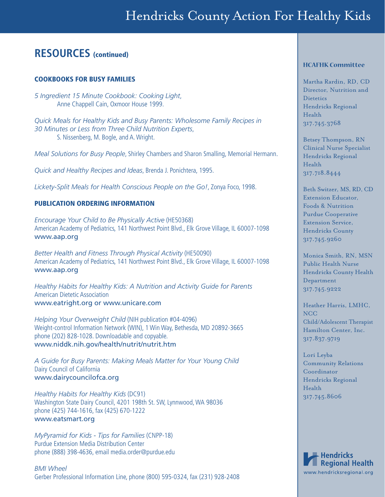### **RESOURCES** (continued)

#### COOKBOOKS FOR BUSY FAMILIES

*5 Ingredient 15 Minute Cookbook: Cooking Light*, Anne Chappell Cain, Oxmoor House 1999.

*Quick Meals for Healthy Kids and Busy Parents: Wholesome Family Recipes in 30 Minutes or Less from Three Child Nutrition Experts*, S. Nissenberg, M. Bogle, and A. Wright.

*Meal Solutions for Busy People*, Shirley Chambers and Sharon Smalling, Memorial Hermann.

*Quick and Healthy Recipes and Ideas*, Brenda J. Ponichtera, 1995.

*Lickety-Split Meals for Health Conscious People on the Go!*, Zonya Foco, 1998.

#### PUBLICATION ORDERING INFORMATION

*Encourage Your Child to Be Physically Active* (HE50368) American Academy of Pediatrics, 141 Northwest Point Blvd., Elk Grove Village, IL 60007-1098 www.aap.org

*Better Health and Fitness Through Physical Activity* (HE50090) American Academy of Pediatrics, 141 Northwest Point Blvd., Elk Grove Village, IL 60007-1098 www.aap.org

*Healthy Habits for Healthy Kids: A Nutrition and Activity Guide for Parents* American Dietetic Association www.eatright.org or www.unicare.com

*Helping Your Overweight Child* (NIH publication #04-4096) Weight-control Information Network (WIN), 1 Win Way, Bethesda, MD 20892-3665 phone (202) 828-1028. Downloadable and copyable. www.niddk.nih.gov/health/nutrit/nutrit.htm

*A Guide for Busy Parents: Making Meals Matter for Your Young Child* Dairy Council of California www.dairycouncilofca.org

*Healthy Habits for Healthy Kids* (DC91) Washington State Dairy Council, 4201 198th St. SW, Lynnwood, WA 98036 phone (425) 744-1616, fax (425) 670-1222 www.eatsmart.org

*MyPyramid for Kids - Tips for Families* (CNPP-18) Purdue Extension Media Distribution Center phone (888) 398-4636, email media.order@purdue.edu

*BMI Wheel* Gerber Professional Information Line, phone (800) 595-0324, fax (231) 928-2408

#### **HCAFHK Committee**

Martha Rardin, RD, CD Director, Nutrition and **Dietetics** Hendricks Regional Health 317.745.3768

Betsey Thompson, RN Clinical Nurse Specialist Hendricks Regional Health 317.718.8444

Beth Switzer, MS, RD, CD Extension Educator, Foods & Nutrition Purdue Cooperative Extension Service, Hendricks County 317.745.9260

Monica Smith, RN, MSN Public Health Nurse Hendricks County Health Department 317.745.9222

Heather Harris, LMHC, NCC Child/Adolescent Therapist Hamilton Center, Inc. 317.837.9719

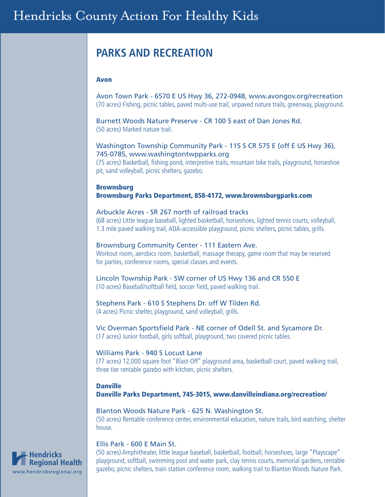## **PARKS AND RECREATION**

#### Avon

Avon Town Park - 6570 E US Hwy 36, 272-0948, www.avongov.org/recreation (70 acres) Fishing, picnic tables, paved multi-use trail, unpaved nature trails, greenway, playground.

Burnett Woods Nature Preserve - CR 100 S east of Dan Jones Rd. (50 acres) Marked nature trail.

#### Washington Township Community Park - 115 S CR 575 E (off E US Hwy 36), 745-0785, www.washingtontwpparks.org

(75 acres) Basketball, fishing pond, interpretive trails, mountain bike trails, playground, horseshoe pit, sand volleyball, picnic shelters, gazebo.

Brownsburg Brownsburg Parks Department, 858-4172, www.brownsburgparks.com

#### Arbuckle Acres - SR 267 north of railroad tracks

(68 acres) Little league baseball, lighted basketball, horseshoes, lighted tennis courts, volleyball, 1.3 mile paved walking trail, ADA-accessible playground, picnic shelters, picnic tables, grills.

#### Brownsburg Community Center - 111 Eastern Ave.

Workout room, aerobics room, basketball, massage therapy, game room that may be reserved for parties, conference rooms, special classes and events.

#### Lincoln Township Park - SW corner of US Hwy 136 and CR 550 E (10 acres) Baseball/softball field, soccer field, paved walking trail.

#### Stephens Park - 610 S Stephens Dr. off W Tilden Rd.

(4 acres) Picnic shelter, playground, sand volleyball, grills.

Vic Overman Sportsfield Park - NE corner of Odell St. and Sycamore Dr. (17 acres) Junior football, girls softball, playground, two covered picnic tables.

#### Williams Park - 940 S Locust Lane

(77 acres) 12,000 square foot "Blast-Off" playground area, basketball court, paved walking trail, three tier rentable gazebo with kitchen, picnic shelters.

#### **Danville** Danville Parks Department, 745-3015, www.danvilleindiana.org/recreation/

#### Blanton Woods Nature Park - 625 N. Washington St. (50 acres) Rentable conference center, environmental education, nature trails, bird watching, shelter house.

#### Ellis Park - 600 E Main St.

(50 acres) Amphitheater, little league baseball, basketball, football, horseshoes, large "Playscape" playground, softball, swimming pool and water park, clay tennis courts, memorial gardens, rentable gazebo, picnic shelters, train station conference room, walking trail to Blanton Woods Nature Park.